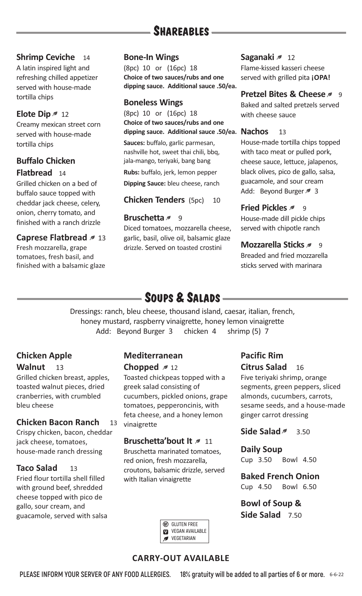# **SHAREABLES**

# **Shrimp Ceviche** 14

A latin inspired light and refreshing chilled appetizer served with house-made tortilla chips

# **Elote Dip**  $\approx$  12

Creamy mexican street corn served with house-made tortilla chips

# **Buffalo Chicken Flatbread** 14

Grilled chicken on a bed of buffalo sauce topped with cheddar jack cheese, celery, onion, cherry tomato, and finished with a ranch drizzle

# **Caprese Flatbread 13**

Fresh mozzarella, grape tomatoes, fresh basil, and finished with a balsamic glaze

# **Bone-In Wings**

(8pc) 10 or (16pc) 18 **Choice of two sauces/rubs and one dipping sauce. Additional sauce .50/ea.**

# **Boneless Wings**

(8pc) 10 or (16pc) 18 **Choice of two sauces/rubs and one dipping sauce. Additional sauce .50/ea. Nachos** 13

**Sauces:** buffalo, garlic parmesan, nashville hot, sweet thai chili, bbq, jala-mango, teriyaki, bang bang

**Rubs:** buffalo, jerk, lemon pepper

**Dipping Sauce:** bleu cheese, ranch

# **Chicken Tenders** (5pc) 10

# **Bruschetta** 9

Diced tomatoes, mozzarella cheese, garlic, basil, olive oil, balsamic glaze drizzle. Served on toasted crostini

# **Saganaki** 2 12

Flame-kissed kasseri cheese served with grilled pita **¡OPA!** 

# **Pretzel Bites & Cheese**

Baked and salted pretzels served with cheese sauce

House-made tortilla chips topped with taco meat or pulled pork, cheese sauce, lettuce, jalapenos, black olives, pico de gallo, salsa, guacamole, and sour cream Add: Beyond Burger 3

# **Fried Pickles** 2 9

House-made dill pickle chips served with chipotle ranch

# **Mozzarella Sticks** 2 9

Breaded and fried mozzarella sticks served with marinara

# **SOUPS & SALADS** -

Dressings: ranch, bleu cheese, thousand island, caesar, italian, french, honey mustard, raspberry vinaigrette, honey lemon vinaigrette Add: Beyond Burger 3 chicken 4 shrimp (5) 7

# **Chicken Apple** Walnut 13

Grilled chicken breast, apples, toasted walnut pieces, dried cranberries, with crumbled bleu cheese

# **Chicken Bacon Ranch** 13

Crispy chicken, bacon, cheddar jack cheese, tomatoes, house-made ranch dressing

# **Taco Salad** 13

Fried flour tortilla shell filled with ground beef, shredded cheese topped with pico de gallo, sour cream, and guacamole, served with salsa

# **Mediterranean Chopped**  $\neq$  12

Toasted chickpeas topped with a greek salad consisting of cucumbers, pickled onions, grape tomatoes, pepperoncinis, with feta cheese, and a honey lemon vinaigrette

# **Bruschetta'bout It**  $\sim 11$

Bruschetta marinated tomatoes, red onion, fresh mozzarella, croutons, balsamic drizzle, served with Italian vinaigrette

#### **G** GLUTEN FREE **VEGAN AVAILABLE VEGETARIAN**

# **Pacific Rim Citrus Salad** 16

Five teriyaki shrimp, orange segments, green peppers, sliced almonds, cucumbers, carrots, sesame seeds, and a house-made ginger carrot dressing

**Side Salad** 3.50

# **Daily Soup**

Cup 3.50 Bowl 4.50

# **Baked French Onion**

Cup 4.50 Bowl 6.50

**Bowl of Soup & Side Salad** 7.50

# **CARRY-OUT AVAILABLE**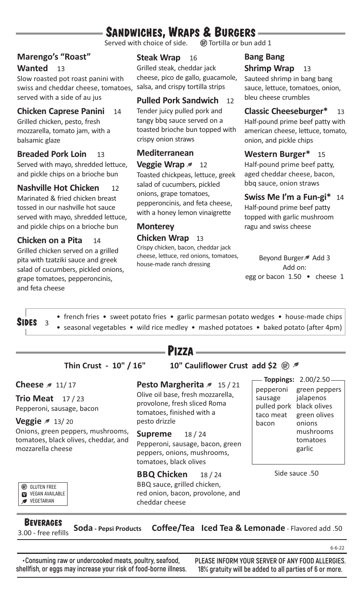# **SANDWICHES, WRAPS & BURGERS** —

Served with choice of side.

# **Marengo's "Roast"**

# Wanted 13

Slow roasted pot roast panini with swiss and cheddar cheese, tomatoes, served with a side of au jus

# **Chicken Caprese Panini** 14

Grilled chicken, pesto, fresh mozzarella, tomato jam, with a balsamic glaze

# **Breaded Pork Loin** 13

Served with mayo, shredded lettuce, and pickle chips on a brioche bun

#### **Nashville Hot Chicken** 12

Marinated & fried chicken breast tossed in our nashville hot sauce served with mayo, shredded lettuce, and pickle chips on a brioche bun

**Chicken on a Pita** 14 Grilled chicken served on a grilled pita with tzatziki sauce and greek salad of cucumbers, pickled onions, grape tomatoes, pepperoncinis, and feta cheese

# **Steak Wrap** 16

Grilled steak, cheddar jack cheese, pico de gallo, guacamole, salsa, and crispy tortilla strips

# **Pulled Pork Sandwich** 12

Tender juicy pulled pork and tangy bbq sauce served on a toasted brioche bun topped with crispy onion straws

# **Mediterranean**

**Veggie Wrap** 2 12 Toasted chickpeas, lettuce, greek salad of cucumbers, pickled onions, grape tomatoes, pepperoncinis, and feta cheese, with a honey lemon vinaigrette

# **Monterey Chicken Wrap** 13

Crispy chicken, bacon, cheddar jack cheese, lettuce, red onions, tomatoes, house-made ranch dressing

# **Bang Bang Shrimp Wrap** 13

Sauteed shrimp in bang bang sauce, lettuce, tomatoes, onion, bleu cheese crumbles

#### **Classic Cheeseburger\*** 13 Half-pound prime beef patty with american cheese, lettuce, tomato, onion, and pickle chips

# **Western Burger\*** 15

Half-pound prime beef patty, aged cheddar cheese, bacon, bbq sauce, onion straws

# **Swiss Me I'm a Fun-gi\*** 14

Half-pound prime beef patty topped with garlic mushroom ragu and swiss cheese

Beyond Burger Add 3 Add on: egg or bacon 1.50 • cheese 1

**SIDES** <sup>3</sup> • french fries • sweet potato fries • garlic parmesan potato wedges • house-made chips • seasonal vegetables • wild rice medley • mashed potatoes • baked potato (after 4pm)

| <b>PIZZA</b>                                                                                                                    |                                                                                                                        |                                                                                                  |
|---------------------------------------------------------------------------------------------------------------------------------|------------------------------------------------------------------------------------------------------------------------|--------------------------------------------------------------------------------------------------|
| Thin Crust - 10" / 16"<br>10" Cauliflower Crust add \$2 OD                                                                      |                                                                                                                        |                                                                                                  |
| Cheese $\approx$ 11/17                                                                                                          | Pesto Margherita 2 15/21                                                                                               | <b>Toppings: 2.00/2.50</b><br>pepperoni<br>green peppers                                         |
| Trio Meat $17/23$<br>Pepperoni, sausage, bacon                                                                                  | Olive oil base, fresh mozzarella,<br>provolone, fresh sliced Roma<br>tomatoes, finished with a<br>pesto drizzle        | jalapenos<br>sausage<br>pulled pork black olives<br>green olives<br>taco meat<br>onions<br>bacon |
| <b>Veggie</b> $\approx 13/20$<br>Onions, green peppers, mushrooms,<br>tomatoes, black olives, cheddar, and<br>mozzarella cheese |                                                                                                                        |                                                                                                  |
|                                                                                                                                 | <b>Supreme</b><br>18 / 24<br>Pepperoni, sausage, bacon, green<br>peppers, onions, mushrooms,<br>tomatoes, black olives | mushrooms<br>tomatoes<br>garlic                                                                  |
| <b>GLUTEN FREE</b><br>(GF)<br><b>VEGAN AVAILABLE</b><br>M<br>VEGETARIAN                                                         | <b>BBQ Chicken</b><br>18/24<br>BBQ sauce, grilled chicken,<br>red onion, bacon, provolone, and<br>cheddar cheese       | Side sauce .50                                                                                   |

# **BEVERAGES**

3.00 - free refills **Soda - Pepsi Products Coffee/Tea Iced Tea & Lemonade** - Flavored add .50

**\*Consuming raw or undercooked meats, poultry, seafood, shellfish, or eggs may increase your risk of food-borne illness.** **PLEASE INFORM YOUR SERVER OF ANY FOOD ALLERGIES. 18% gratuity will be added to all parties of 6 or more.**

6-6-22